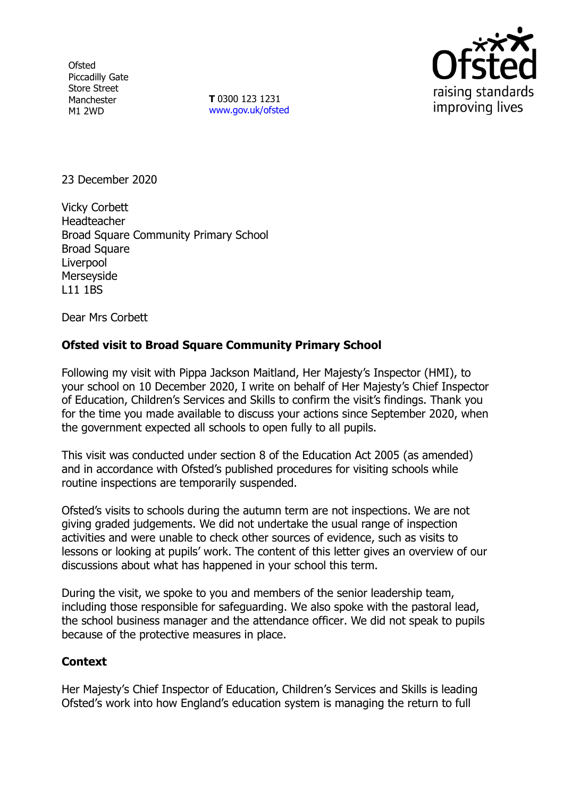**Ofsted** Piccadilly Gate Store Street Manchester M1 2WD

**T** 0300 123 1231 [www.gov.uk/ofsted](http://www.gov.uk/ofsted)



23 December 2020

Vicky Corbett Headteacher Broad Square Community Primary School Broad Square **Liverpool** Merseyside L11 1BS

Dear Mrs Corbett

## **Ofsted visit to Broad Square Community Primary School**

Following my visit with Pippa Jackson Maitland, Her Majesty's Inspector (HMI), to your school on 10 December 2020, I write on behalf of Her Majesty's Chief Inspector of Education, Children's Services and Skills to confirm the visit's findings. Thank you for the time you made available to discuss your actions since September 2020, when the government expected all schools to open fully to all pupils.

This visit was conducted under section 8 of the Education Act 2005 (as amended) and in accordance with Ofsted's published procedures for visiting schools while routine inspections are temporarily suspended.

Ofsted's visits to schools during the autumn term are not inspections. We are not giving graded judgements. We did not undertake the usual range of inspection activities and were unable to check other sources of evidence, such as visits to lessons or looking at pupils' work. The content of this letter gives an overview of our discussions about what has happened in your school this term.

During the visit, we spoke to you and members of the senior leadership team, including those responsible for safeguarding. We also spoke with the pastoral lead, the school business manager and the attendance officer. We did not speak to pupils because of the protective measures in place.

## **Context**

Her Majesty's Chief Inspector of Education, Children's Services and Skills is leading Ofsted's work into how England's education system is managing the return to full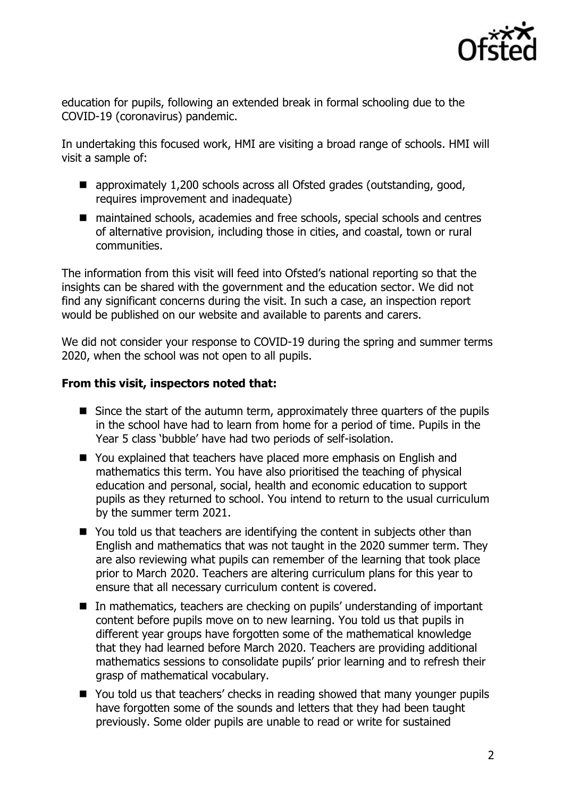

education for pupils, following an extended break in formal schooling due to the COVID-19 (coronavirus) pandemic.

In undertaking this focused work, HMI are visiting a broad range of schools. HMI will visit a sample of:

- approximately 1,200 schools across all Ofsted grades (outstanding, good, requires improvement and inadequate)
- maintained schools, academies and free schools, special schools and centres of alternative provision, including those in cities, and coastal, town or rural communities.

The information from this visit will feed into Ofsted's national reporting so that the insights can be shared with the government and the education sector. We did not find any significant concerns during the visit. In such a case, an inspection report would be published on our website and available to parents and carers.

We did not consider your response to COVID-19 during the spring and summer terms 2020, when the school was not open to all pupils.

## **From this visit, inspectors noted that:**

- $\blacksquare$  Since the start of the autumn term, approximately three quarters of the pupils in the school have had to learn from home for a period of time. Pupils in the Year 5 class 'bubble' have had two periods of self-isolation.
- You explained that teachers have placed more emphasis on English and mathematics this term. You have also prioritised the teaching of physical education and personal, social, health and economic education to support pupils as they returned to school. You intend to return to the usual curriculum by the summer term 2021.
- You told us that teachers are identifying the content in subjects other than English and mathematics that was not taught in the 2020 summer term. They are also reviewing what pupils can remember of the learning that took place prior to March 2020. Teachers are altering curriculum plans for this year to ensure that all necessary curriculum content is covered.
- In mathematics, teachers are checking on pupils' understanding of important content before pupils move on to new learning. You told us that pupils in different year groups have forgotten some of the mathematical knowledge that they had learned before March 2020. Teachers are providing additional mathematics sessions to consolidate pupils' prior learning and to refresh their grasp of mathematical vocabulary.
- You told us that teachers' checks in reading showed that many younger pupils have forgotten some of the sounds and letters that they had been taught previously. Some older pupils are unable to read or write for sustained